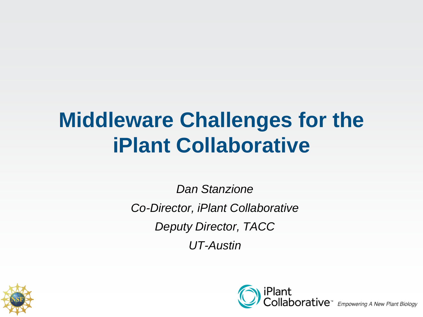#### **Middleware Challenges for the iPlant Collaborative**

*Dan Stanzione Co-Director, iPlant Collaborative Deputy Director, TACC UT-Austin*



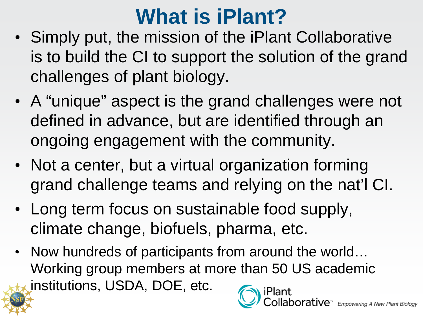#### **What is iPlant?**

- Simply put, the mission of the iPlant Collaborative is to build the CI to support the solution of the grand challenges of plant biology.
- A "unique" aspect is the grand challenges were not defined in advance, but are identified through an ongoing engagement with the community.
- Not a center, but a virtual organization forming grand challenge teams and relying on the nat'l CI.
- Long term focus on sustainable food supply, climate change, biofuels, pharma, etc.
- Now hundreds of participants from around the world... Working group members at more than 50 US academic institutions, USDA, DOE, etc.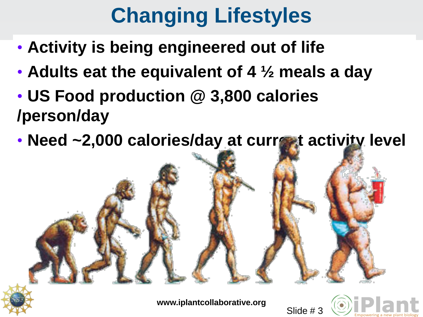# **Changing Lifestyles**

- **Activity is being engineered out of life**
- **Adults eat the equivalent of 4 ½ meals a day**
- **US Food production @ 3,800 calories /person/day**
- **Need ~2,000 calories/day at current activity level**



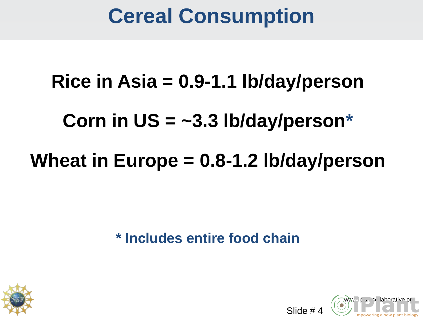#### **Cereal Consumption**

# **Rice in Asia = 0.9-1.1 lb/day/person Corn in US = ~3.3 lb/day/person\* Wheat in Europe = 0.8-1.2 lb/day/person**

**\* Includes entire food chain**





Slide # 4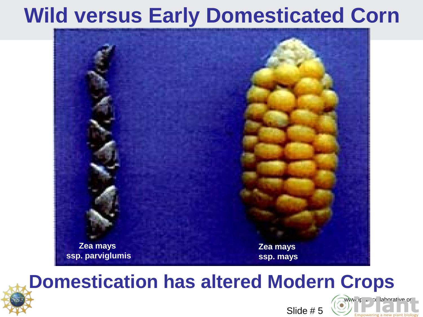#### **Wild versus Early Domesticated Corn**



#### **Domestication has alte[red Modern Crops](http://www.iplantcollaborative.org/)**

![](_page_4_Picture_3.jpeg)

![](_page_4_Picture_4.jpeg)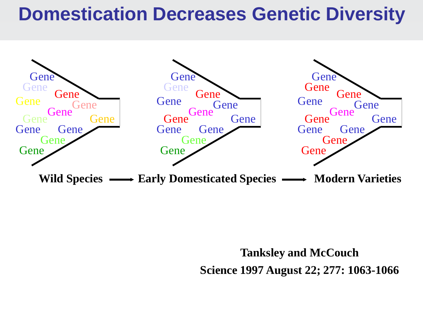#### **Domestication Decreases Genetic Diversity**

![](_page_5_Figure_1.jpeg)

**Tanksley and McCouch**

**Science 1997 August 22; 277: 1063-1066**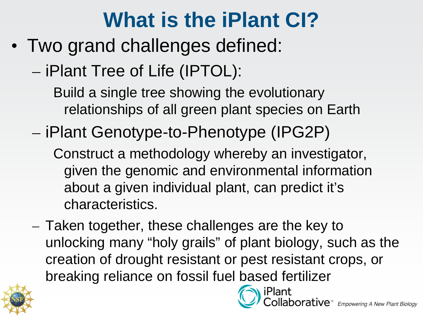#### **What is the iPlant CI?**

• Two grand challenges defined:

– iPlant Tree of Life (IPTOL):

Build a single tree showing the evolutionary relationships of all green plant species on Earth

– iPlant Genotype-to-Phenotype (IPG2P)

Construct a methodology whereby an investigator, given the genomic and environmental information about a given individual plant, can predict it's characteristics.

– Taken together, these challenges are the key to unlocking many "holy grails" of plant biology, such as the creation of drought resistant or pest resistant crops, or breaking reliance on fossil fuel [based fertilizer](http://www.iplantcollaborative.org/)

![](_page_6_Picture_7.jpeg)

 $\mathsf{porative}^*$  Empowering A New Plant Biology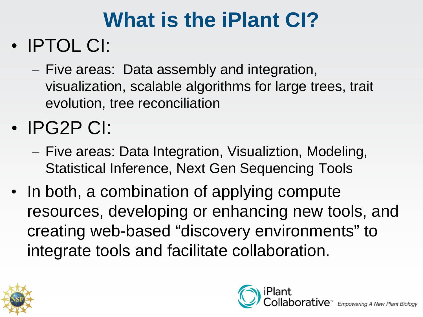#### **What is the iPlant CI?**

#### • IPTOL CI:

- Five areas: Data assembly and integration, visualization, scalable algorithms for large trees, trait evolution, tree reconciliation
- IPG2P CI:
	- Five areas: Data Integration, Visualiztion, Modeling, Statistical Inference, Next Gen Sequencing Tools
- In both, a combination of applying compute resources, developing or enhancing new tools, and creating web-based "discovery environments" to integrate tools and facilitate collaboration.

![](_page_7_Picture_6.jpeg)

![](_page_7_Picture_7.jpeg)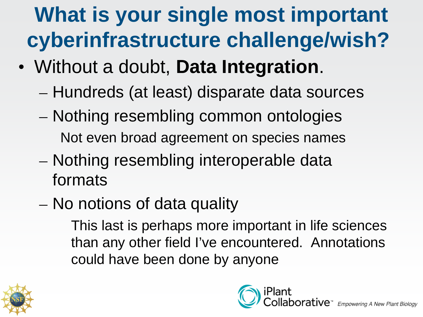## **What is your single most important cyberinfrastructure challenge/wish?**

- Without a doubt, **Data Integration**.
	- Hundreds (at least) disparate data sources
	- Nothing resembling common ontologies Not even broad agreement on species names
	- Nothing resembling interoperable data formats
	- No notions of data quality

This last is perhaps more important in life sciences than any other field I've encountered. Annotations could have been done by anyone

![](_page_8_Picture_7.jpeg)

![](_page_8_Picture_8.jpeg)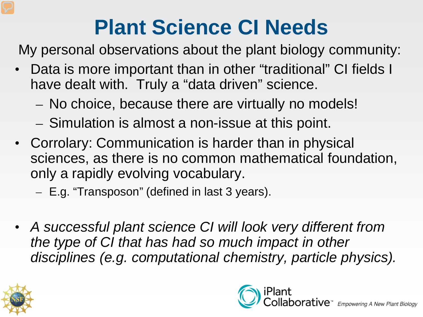### **Plant Science CI Needs**

My personal observations about the plant biology community:

- Data is more important than in other "traditional" CI fields I have dealt with. Truly a "data driven" science.
	- No choice, because there are virtually no models!
	- Simulation is almost a non-issue at this point.
- Corrolary: Communication is harder than in physical sciences, as there is no common mathematical foundation, only a rapidly evolving vocabulary.
	- E.g. "Transposon" (defined in last 3 years).
- *A successful plant science CI will look very different from the type of CI that has had so much impact in other disciplines (e.g. computational chemistry, particle physics).*

![](_page_9_Picture_8.jpeg)

![](_page_9_Picture_9.jpeg)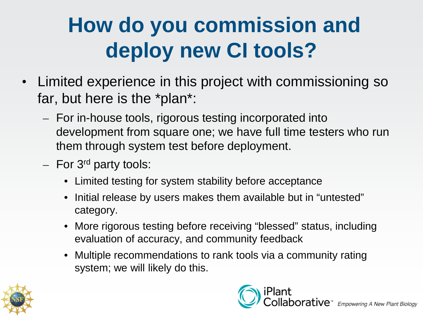## **How do you commission and deploy new CI tools?**

- Limited experience in this project with commissioning so far, but here is the \*plan\*:
	- For in-house tools, rigorous testing incorporated into development from square one; we have full time testers who run them through system test before deployment.
	- $-$  For 3<sup>rd</sup> party tools:
		- Limited testing for system stability before acceptance
		- Initial release by users makes them available but in "untested" category.
		- More rigorous testing before receiving "blessed" status, including evaluation of accuracy, and community feedback
		- Multiple recommendations to rank tools via a community rating system; we will likely do this.

![](_page_10_Picture_8.jpeg)

![](_page_10_Picture_9.jpeg)